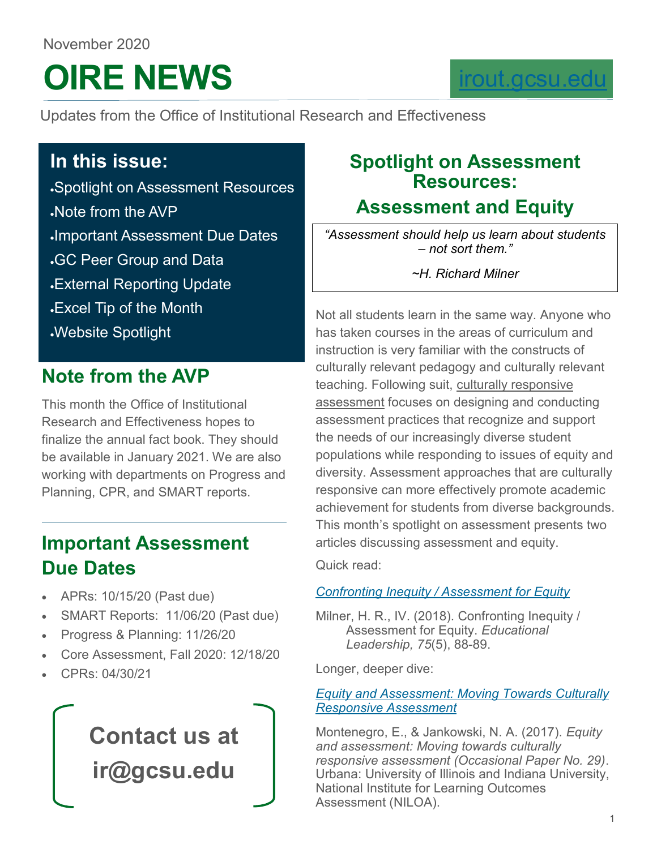## November 2020

# **OIRE NEWS**

### [irout.gcsu.edu](https://irout.gcsu.edu/)

Updates from the Office of Institutional Research and Effectiveness

### **In this issue:**

•Spotlight on Assessment Resources •Note from the AVP •Important Assessment Due Dates •GC Peer Group and Data •External Reporting Update •Excel Tip of the Month

•Website Spotlight

### **Note from the AVP**

This month the Office of Institutional Research and Effectiveness hopes to finalize the annual fact book. They should be available in January 2021. We are also working with departments on Progress and Planning, CPR, and SMART reports.

### **Important Assessment Due Dates**

- APRs: 10/15/20 (Past due)
- SMART Reports: 11/06/20 (Past due)
- Progress & Planning: 11/26/20
- Core Assessment, Fall 2020: 12/18/20
- CPRs: 04/30/21

# **Contact us at ir@gcsu.edu**

### **Spotlight on Assessment Resources:**

### **Assessment and Equity**

*"Assessment should help us learn about students – not sort them."*

*~H. Richard Milner*

Not all students learn in the same way. Anyone who has taken courses in the areas of curriculum and instruction is very familiar with the constructs of culturally relevant pedagogy and culturally relevant teaching. Following suit, culturally responsive assessment focuses on designing and conducting assessment practices that recognize and support the needs of our increasingly diverse student populations while responding to issues of equity and diversity. Assessment approaches that are culturally responsive can more effectively promote academic achievement for students from diverse backgrounds. This month's spotlight on assessment presents two articles discussing assessment and equity.

Quick read:

### *[Confronting Inequity / Assessment for Equity](http://www.ascd.org/publications/educational-leadership/feb18/vol75/num05/Assessment-for-Equity.aspx)*

Milner, H. R., IV. (2018). Confronting Inequity / Assessment for Equity. *Educational Leadership, 75*(5), 88-89.

Longer, deeper dive:

#### *[Equity and Assessment: Moving Towards Culturally](https://www.learningoutcomesassessment.org/wp-content/uploads/2019/02/OccasionalPaper29.pdf)  [Responsive Assessment](https://www.learningoutcomesassessment.org/wp-content/uploads/2019/02/OccasionalPaper29.pdf)*

Montenegro, E., & Jankowski, N. A. (2017). *Equity and assessment: Moving towards culturally responsive assessment (Occasional Paper No. 29)*. Urbana: University of Illinois and Indiana University, National Institute for Learning Outcomes Assessment (NILOA).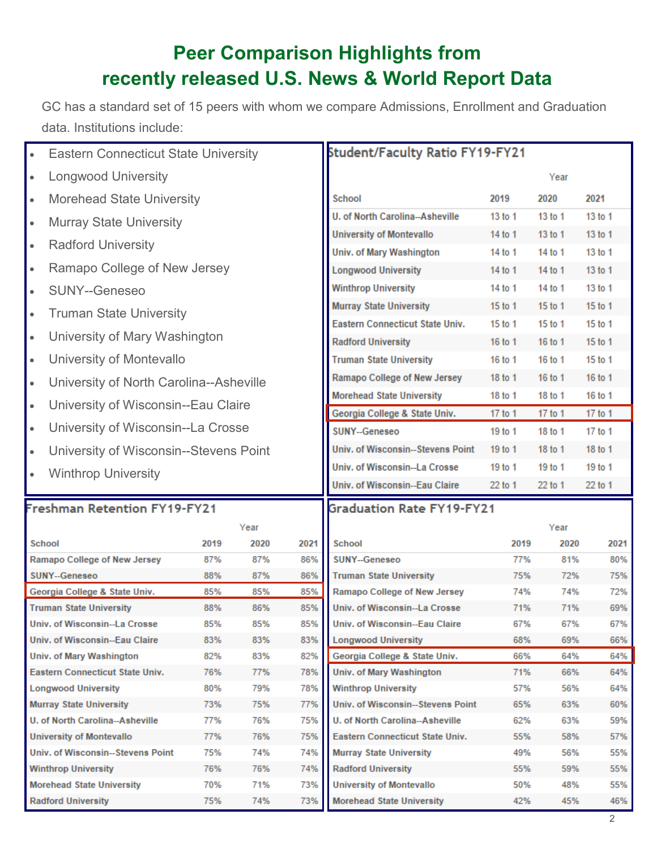### **Peer Comparison Highlights from recently released U.S. News & World Report Data**

GC has a standard set of 15 peers with whom we compare Admissions, Enrollment and Graduation data. Institutions include:

| <b>Eastern Connecticut State University</b><br>$\bullet$       |            |            | Student/Faculty Ratio FY19-FY21 |                                                                |            |            |            |  |
|----------------------------------------------------------------|------------|------------|---------------------------------|----------------------------------------------------------------|------------|------------|------------|--|
| <b>Longwood University</b><br>$\bullet$                        |            |            |                                 |                                                                | Year       |            |            |  |
| <b>Morehead State University</b><br>$\bullet$                  |            |            |                                 | <b>School</b>                                                  | 2019       | 2020       | 2021       |  |
| <b>Murray State University</b><br>$\bullet$                    |            |            |                                 | U. of North Carolina--Asheville                                | 13 to 1    | 13 to 1    | 13 to 1    |  |
|                                                                |            |            |                                 | <b>University of Montevallo</b>                                | 14 to 1    | 13 to 1    | 13 to 1    |  |
| <b>Radford University</b><br>$\bullet$                         |            |            |                                 | Univ. of Mary Washington                                       | 14 to 1    | 14 to 1    | 13 to 1    |  |
| Ramapo College of New Jersey<br>$\bullet$                      |            |            |                                 | <b>Longwood University</b>                                     | 14 to 1    | 14 to 1    | 13 to 1    |  |
| <b>SUNY--Geneseo</b><br>$\bullet$                              |            |            |                                 | <b>Winthrop University</b>                                     | 14 to 1    | 14 to 1    | 13 to 1    |  |
| <b>Truman State University</b><br>$\bullet$                    |            |            |                                 | <b>Murray State University</b>                                 | 15 to 1    | 15 to 1    | 15 to 1    |  |
|                                                                |            |            |                                 | Eastern Connecticut State Univ.                                | 15 to 1    | 15 to 1    | 15 to 1    |  |
| University of Mary Washington<br>$\bullet$                     |            |            |                                 | <b>Radford University</b>                                      | 16 to 1    | 16 to 1    | 15 to 1    |  |
| University of Montevallo<br>$\bullet$                          |            |            |                                 | <b>Truman State University</b>                                 | 16 to 1    | 16 to 1    | 15 to 1    |  |
| University of North Carolina--Asheville<br>$\bullet$           |            |            |                                 | Ramapo College of New Jersey                                   | 18 to 1    | 16 to 1    | 16 to 1    |  |
| University of Wisconsin--Eau Claire<br>$\bullet$               |            |            |                                 | <b>Morehead State University</b>                               | 18 to 1    | 18 to 1    | 16 to 1    |  |
|                                                                |            |            |                                 | Georgia College & State Univ.                                  | 17 to 1    | 17 to 1    | 17 to 1    |  |
| University of Wisconsin--La Crosse<br>$\bullet$                |            |            |                                 | SUNY--Geneseo                                                  | 19 to 1    | 18 to 1    | 17 to 1    |  |
| University of Wisconsin--Stevens Point<br>$\bullet$            |            |            |                                 | <b>Univ. of Wisconsin--Stevens Point</b>                       | 19 to 1    | 18 to 1    | 18 to 1    |  |
| <b>Winthrop University</b><br>$\bullet$                        |            |            |                                 | Univ. of Wisconsin--La Crosse                                  | 19 to 1    | 19 to 1    | 19 to 1    |  |
|                                                                |            |            |                                 | Univ. of Wisconsin--Eau Claire                                 | 22 to 1    | 22 to 1    | 22 to 1    |  |
| <b>Freshman Retention FY19-FY21</b>                            |            |            |                                 | <b>Graduation Rate FY19-FY21</b>                               |            |            |            |  |
|                                                                |            | Year       |                                 |                                                                |            | Year       |            |  |
| <b>School</b>                                                  | 2019       | 2020       | 2021                            | School                                                         | 2019       | 2020       | 2021       |  |
| Ramapo College of New Jersey<br>SUNY--Geneseo                  | 87%        | 87%        | 86%                             | SUNY--Geneseo                                                  | 77%        | 81%        | 80%        |  |
| Georgia College & State Univ.                                  | 88%<br>85% | 87%<br>85% | 86%<br>85%                      | <b>Truman State University</b><br>Ramapo College of New Jersey | 75%<br>74% | 72%<br>74% | 75%<br>72% |  |
| <b>Truman State University</b>                                 | 88%        | 86%        | 85%                             | Univ. of Wisconsin--La Crosse                                  | 71%        | 71%        | 69%        |  |
| Univ. of Wisconsin--La Crosse                                  | 85%        | 85%        | 85%                             | Univ. of Wisconsin--Eau Claire                                 | 67%        | 67%        | 67%        |  |
| Univ. of Wisconsin--Eau Claire                                 | 83%        | 83%        | 83%                             | <b>Longwood University</b>                                     | 68%        | 69%        | 66%        |  |
| <b>Univ. of Mary Washington</b>                                | 82%        | 83%        | 82%                             | Georgia College & State Univ.                                  | 66%        | 64%        | 64%        |  |
| Eastern Connecticut State Univ.                                | 76%        | 77%        | 78%                             | <b>Univ. of Mary Washington</b>                                | 71%        | 66%        | 64%        |  |
| <b>Longwood University</b>                                     | 80%        | 79%        | 78%                             | <b>Winthrop University</b>                                     | 57%        | 56%        | 64%        |  |
| <b>Murray State University</b>                                 | 73%        | 75%        | 77%                             | Univ. of Wisconsin--Stevens Point                              | 65%        | 63%        | 60%        |  |
| U. of North Carolina--Asheville                                | 77%        | 76%        | 75%                             | U. of North Carolina--Asheville                                | 62%        | 63%        | 59%        |  |
| <b>University of Montevallo</b>                                | 77%        | 76%        | 75%                             | Eastern Connecticut State Univ.<br>55%                         |            | 58%        | 57%        |  |
|                                                                |            |            |                                 |                                                                |            |            |            |  |
| Univ. of Wisconsin--Stevens Point                              | 75%        | 74%        | 74%                             | <b>Murray State University</b>                                 | 49%        | 56%        | 55%        |  |
| <b>Winthrop University</b><br><b>Morehead State University</b> | 76%<br>70% | 76%<br>71% | 74%<br>73%                      | <b>Radford University</b><br><b>University of Montevallo</b>   | 55%<br>50% | 59%<br>48% | 55%<br>55% |  |